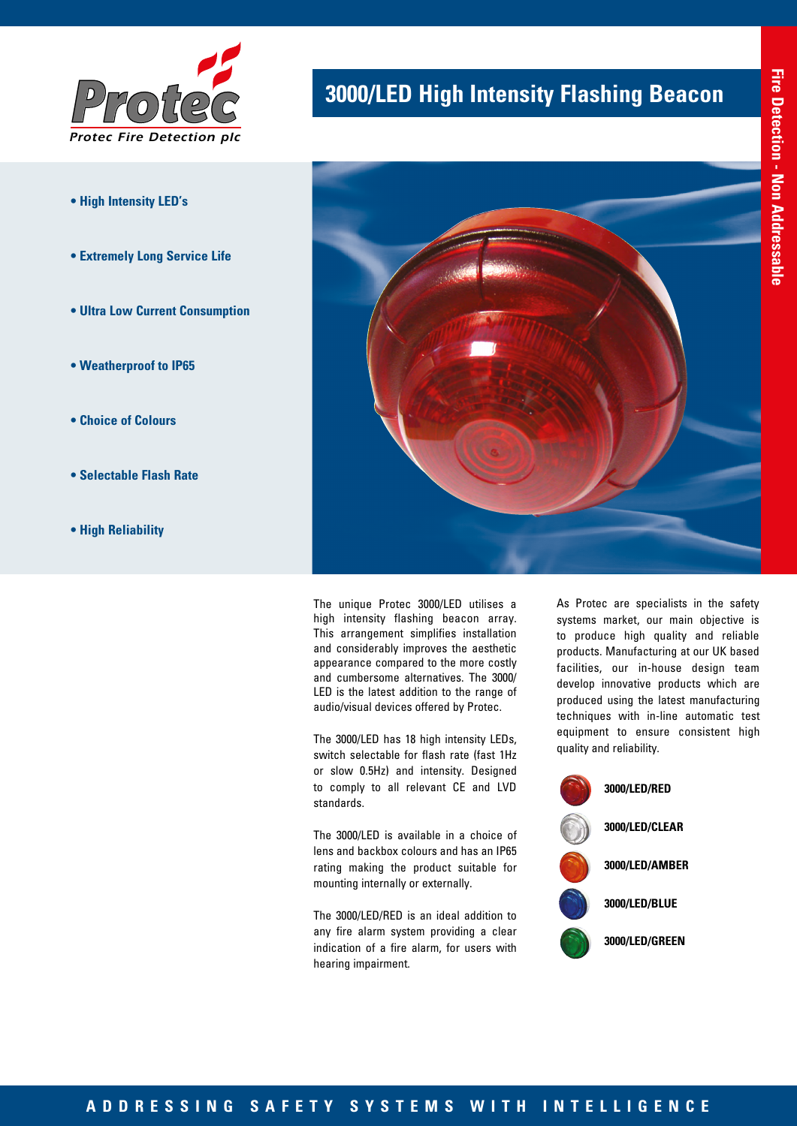

- **High Intensity LED's**
- **Extremely Long Service Life**
- **Ultra Low Current Consumption**
- **Weatherproof to IP65**
- **Choice of Colours**
- **Selectable Flash Rate**
- **High Reliability**

# **3000/LED High Intensity Flashing Beacon**



The unique Protec 3000/LED utilises a high intensity flashing beacon array. This arrangement simplifies installation and considerably improves the aesthetic appearance compared to the more costly and cumbersome alternatives. The 3000/ LED is the latest addition to the range of audio/visual devices offered by Protec.

The 3000/LED has 18 high intensity LEDs, switch selectable for flash rate (fast 1Hz or slow 0.5Hz) and intensity. Designed to comply to all relevant CE and LVD standards.

The 3000/LED is available in a choice of lens and backbox colours and has an IP65 rating making the product suitable for mounting internally or externally.

The 3000/LED/RED is an ideal addition to any fire alarm system providing a clear indication of a fire alarm, for users with hearing impairment.

As Protec are specialists in the safety systems market, our main objective is to produce high quality and reliable products. Manufacturing at our UK based facilities, our in-house design team develop innovative products which are produced using the latest manufacturing techniques with in-line automatic test equipment to ensure consistent high quality and reliability.